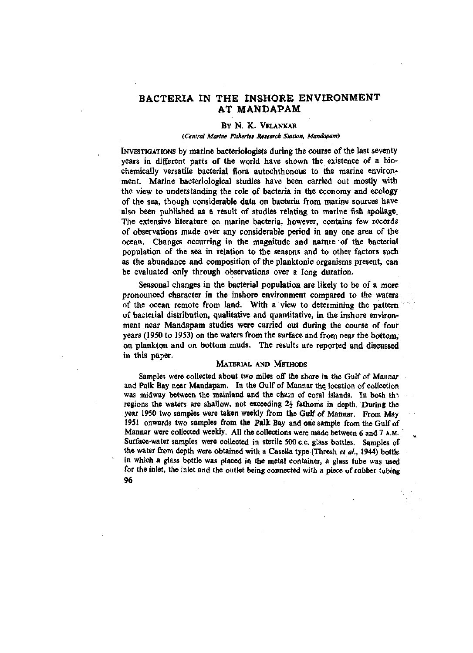## BACTERIA IN THE INSHORE ENVIRONMENT AT MANDAPAM

## BY N. K. VELANKAR

#### *(Central Marine Fisheries Research Station, Mandapam)*

INVESTIGATIONS by marine bacteriologists during the course of the last seventy years in different parts of the world have shown the existence of a biochemically versatile bacterial flora autochthonous to the marine environment. Marine bacteriological studies have been carried out mostly with the view to understanding the role of bacteria in the economy and ecology of the sea, though considerable data on bacteria from marine sources have also been published as a result of studies relating to marine fish spoilage. The extensive literature on marine bacteria, however, contains few records of observations made over any considerable period in any one area of the ocean. Changes occurring in the magnitude and nature of the bacterial population of the sea in relation to the seasons and to other factors such as the abundance and composition of the planktonic organisms present, can be evaluated only through observations over a long duration.

Seasonal changes in the bacterial population are likely to be of a more pronounced character in the inshore environment compared to the waters of the ocean remote from land. With a view to determining the pattern of bacterial distribution, qualitative and quantitative, in the inshore environment near Mandapam studies were carried out during the course of four years (1950 to 1953) on the waters from the surface and from near the bottom, on plankton and on bottom muds. The results are reported and discussed in this paper.

#### MATERIAL AND METHODS

Samples were collected about two miles off the shore in the Gulf of Mannar and Palk Bay near Mandapam. In the Gulf of Mannar the location of collection was midway between the mainland and the chain of coral islands. In both the regions the waters are shallow, not exceeding  $2\frac{1}{2}$  fathoms in depth. During the year 1950 two samples were taken weekly from the Gulf of Mannar. From May 1951 onwards two samples from the Palk Bay and one sample from the Gulf of Mannar were collected weekly. All the collections were made between 6 and 7 A.M. Surface-water samples were collected in sterile 500 c.c. glass bottles. Samples of the water from depth were obtained with a Casella type (Thresh *etal,* 1944) bottle in which a glass bottle was placed in the metal container, a glass tube was used for the inlet, the inlet and the outlet being connected with a piece of rubber tubing 96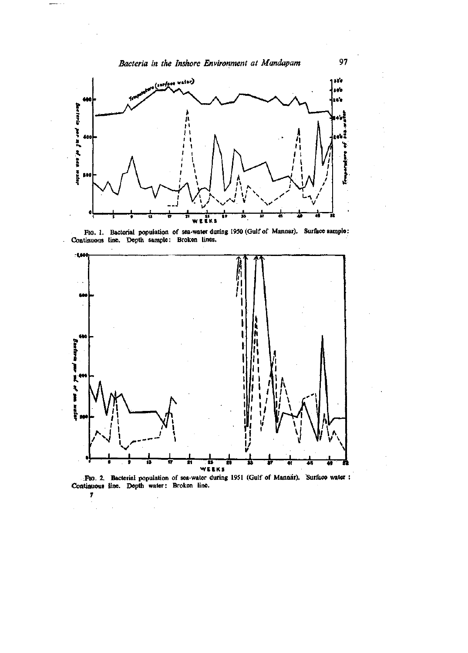

**Fio. 1. Bacterial population of sea-water during 1950 (Gulf of Mannar). Surface sample: Continuous line. Depth sample: Broken lines.** 



**:Fto. 2. Bacterial population of sea-water during 1951 (Gulf of Mannar). Surface water** Continuous line. Depth water: Broken line.

**7** 

 $\bar{z}$ 

 $\overline{a}$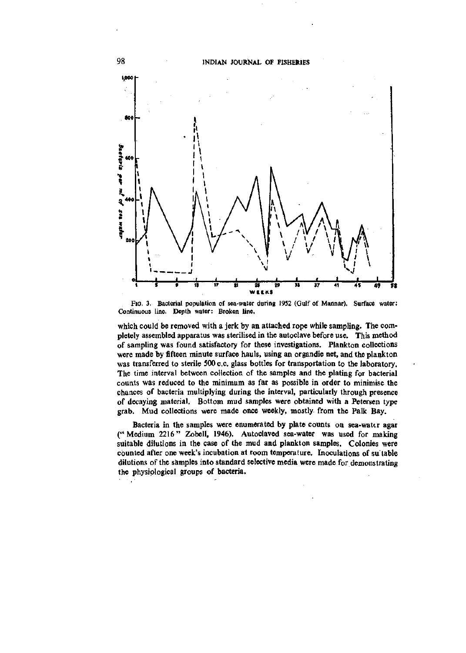

FIG. 3. Bacterial population of sea-water during 1952 (Gulf of Mannar). Surface water: Continuous line. Depth water: Broken line.

which could be removed with a jerk by an attached rope while sampling. The completely assembled apparatus was sterilised in the autoclave before use. This method of sampling was found satisfactory for these investigations. Plankton collections were made by fifteen minute surface hauls, using an organdie net, and the plankton was transferred to sterile 500 c.c. glass bottles for transportation to the laboratory. The time interval between collection of the samples and the plating for bacterial counts was reduced to the minimum as far as possible in order to minimise the chances of bacteria multiplying during the interval, particularly through presence of decaying material. Bottom mud samples were obtained with a Petersen type grab. Mud collections were made once weekly, mostly from the Palk Bay,

Bacteria in the samples were enumerated by plate counts on sea-water agar ("Medium 2216" Zobell, 1946), Autoclaved sea-water was used for making suitable dilutions in the case of the mud and plankton samples. Colonies were counted after one week's incubation at room temperature. Inoculations of su"table dilutions of the samples into standard selective media were made for demonstrating the physiological groups of bacteria.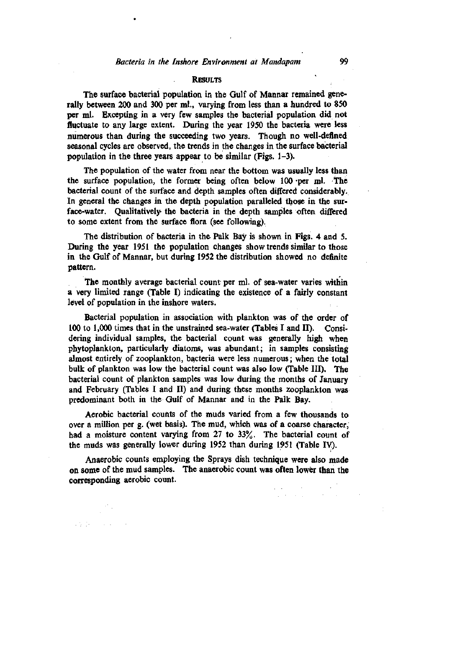#### RESULTS

The surface bacterial population in the Gulf of Mannar remained generally between 200 and 300 per ml., varying from less than a hundred to 850 per ml. Excepting in a very few samples the bacterial population did not fluctuate to any large extent. During the year 1950 the bacteria were less numerous than during the succeeding two years. Though no well-defined seasonal cycles are observed, the trends in the changes in the surface bacterial population in the three years appear to be similar (Figs. 1-3).

The population of the water from near the bottom was usually less than the surface population, the former being often below 100 -per ml. The bacterial count of the surface and depth samples often differed considerably. In general the changes in the depth population paralleled those in the surface-water. Qualitatively the bacteria in the depth samples often differed to some extent from the surface flora (see following).

The distribution of bacteria in the Palk Bay is shown in Figs. 4 and 5. During the year 1951 the population changes show trends similar to those in the Gulf of Mannar, but during 1952 the distribution showed no definite pattern.

The monthly average bacterial count per ml. of sea-water varies within a very limited range (Table I) indicating the existence of a fairly constant level of population in the inshore waters.

Bacterial population in association with plankton was of the order of 100 to 1,000 times that in the unstrained sea-water (Tables I and II). Considering individual samples, the bacterial count was generally high when phytoplankton, particularly diatoms, was abundant; in samples consisting almost entirely of zooplankton, bacteria were less numerous; when the total bulk of plankton was low the bacterial count was also low (Table III). The bacterial count of plankton samples was low during the months of January and February (Tables I and II) and during these months zooplankton was predominant both in the Gulf of Mannar and in the Palk Bay.

Aerobic bacterial counts of the muds varied from a few thousands to over a million per g. (wet basis). The mud, which was of a coarse character, had a moisture content varying from 27 to 33%. The bacterial count of the muds was generally lower during 1952 than during 1951 (Table lY).

Anaerobic counts employing the Sprays dish technique were also made on some of the mud samples. The anaerobic count was often lower than the corresponding aerobic count.

2010年11月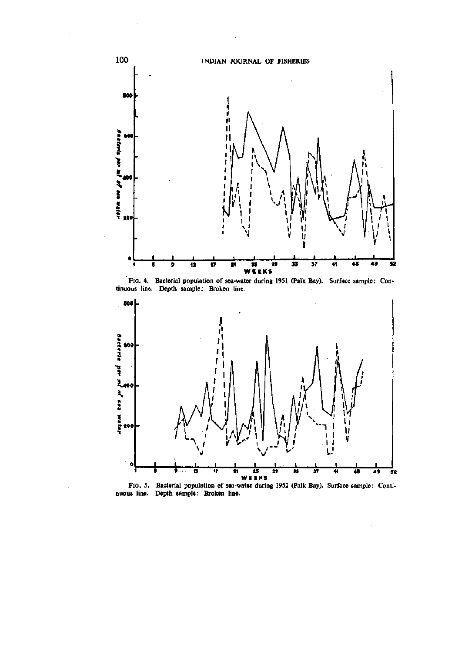

**FIG. 4. Bacterial population of sea-water during 1951 (Palk Bay), tinuous line. Depth sample: Broken line. Surface sample: Con-**



**FIO. 5. Duous line. Bacterial population of sea-water during 1952 (Palk Bay). Surface sample Depth sample: Broken line. Conti-**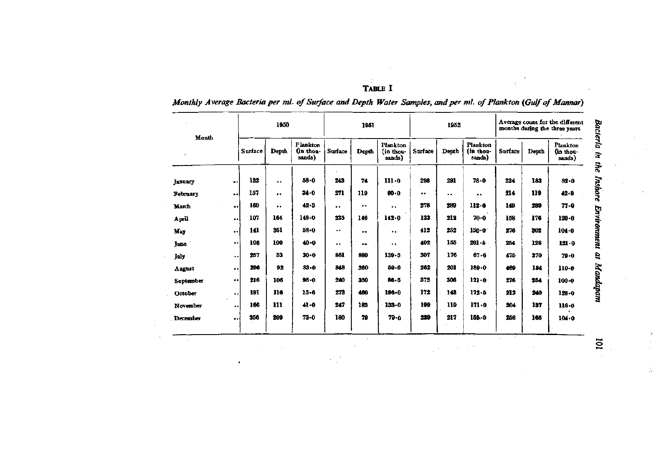| н<br>× |  |
|--------|--|
|--------|--|

 $\pm$ 

 $\mathcal{L}(\mathcal{A})$  and  $\mathcal{L}(\mathcal{A})$ 

 $\sim 10^7$ 

 $\sim$ 

 $\mathcal{A}^{\pm}$ 

 $\sim 10^{11}$ 

# *Monthly Average Bacteria per ml. of Surface and Depth Water Samples, and per ml. of Plankton (Gulf of Mannar)*

| Month       |                      | 1950    |                      |                                        | 1951             |           | 1952                           |         | Average count for the different<br>months during the three years |                                 |         |       |                                |
|-------------|----------------------|---------|----------------------|----------------------------------------|------------------|-----------|--------------------------------|---------|------------------------------------------------------------------|---------------------------------|---------|-------|--------------------------------|
|             |                      | Surface | Depth                | <b>Plankton</b><br>(in thou-<br>sands) | Surface          | Depth     | Plankton<br>in thou-<br>sands) | Surface | Depth                                                            | Plankton<br>(in thou-<br>sands) | Surface | Depth | Plankton<br>in thou-<br>sands) |
| January     | ۵ś                   | 132     |                      | $58 - 0$                               | 243              | 74        | $111 - 0$                      | 298     | 291                                                              | 78.0                            | 224     | 183   | 82.0                           |
| February    | $\ddot{\phantom{1}}$ | 157     | $\ddot{\phantom{0}}$ | $34 - 0$                               | 271              | 119       | 60.0                           |         | $\ddot{\phantom{a}}$                                             | $\cdots$                        | 214     | 119   | $42 - 9$                       |
| March       | ا •                  | 169     |                      | 42.3                                   |                  |           | $\bullet$                      | 278     | 289                                                              | 112.0                           | 149     | 289   | $77 - 0$                       |
| April       | $\bullet$            | 107     | 164                  | 148.0                                  | 235              | 146       | 142.0                          | 133     | 212                                                              | $70 - 0$                        | 158     | 176   | $120 - 0$                      |
| May         | ٠.                   | 141     | 351                  | 58-0                                   | $\bullet\bullet$ | $\bullet$ | $\bullet\bullet$               | 412     | 252                                                              | $150 - 0$                       | 276     | 302   | $104 - 0$                      |
| <b>lune</b> | $\ddot{\phantom{0}}$ | 106     | 100                  | 40.0                                   |                  | $\bullet$ |                                | 402     | 155                                                              | $201 - 5$                       | 254     | 128   | $121 - 0$                      |
| July        | Ļ.                   | 257     | 53                   | $30 - 0$                               | 861              | 880       | $139 - 5$                      | 307     | 176                                                              | $67 - 6$                        | 475     | 370   | $79 - 0$                       |
| August      |                      | 296     | 92                   | $83 - 0$                               | 848              | 260       | 59.0                           | 262     | 201                                                              | $189 - 0$                       | 469     | 184   | $110 - 0$                      |
| September   | $\bullet$ $\bullet$  | 216     | 106                  | $95 - 0$                               | 240              | 350       | $86 - 5$                       | 372     | 306                                                              | $121 - 0$                       | 276     | 254   | $100 - 0$                      |
| October     | $\bullet$            | 191     | 116                  | $15 - 6$                               | 273              | 460       | 196-0                          | 172     | 143                                                              | $172 - 5$                       | 212     | 240   | 128.0                          |
| November    | $\bullet$ $\bullet$  | 166     | 111                  | 41.0                                   | 247              | 183       | $133 - 0$                      | 199     | 119                                                              | $171 - 0$                       | 204     | 137   | $118 - 0$                      |
| December    | $\bullet$            | 356     | 209                  | $73 - 0$                               | 180              | 79        | $79 - 0$                       | 239     | 217                                                              | 159.0                           | 258     | 166   | 104.0                          |

 $\overline{a}$  $\bar{z}$ 

ó,

 $\sim$ 

 $\sim 100$  km  $^{-2}$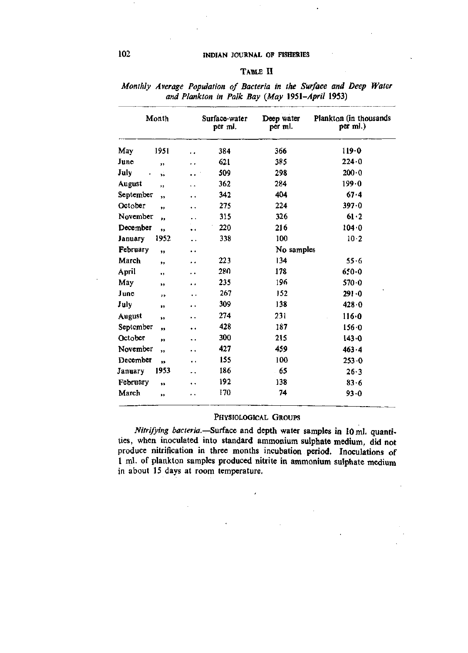## 102 **INDIAN JOURNAL OF FISHERIES**

### TABLE II

| Month          |              |                      | Surface-water<br>per ml. | Deep water<br>per ml. | Plankton (in thousands<br>per ml.) |  |
|----------------|--------------|----------------------|--------------------------|-----------------------|------------------------------------|--|
| May            | 1951         | . .                  | 384                      | 366                   | 119.0                              |  |
| June           | ,,           | μ.                   | 621                      | 385                   | 224.0                              |  |
| July           | si.          | $\ddot{\phantom{0}}$ | 509                      | 298                   | 200.0                              |  |
| August         | ,,           | ٠.                   | 362                      | 284                   | 199.0                              |  |
| September      | ,,           | $\ddot{\phantom{0}}$ | 342                      | 404                   | 67.4                               |  |
| October        | $^{\ast}$    | ٠.                   | 275                      | 224                   | $397 - 0$                          |  |
| November       | $^{\bullet}$ | $\ddot{\phantom{1}}$ | 315                      | 326                   | 61.2                               |  |
| December       | ,,           | $\ddot{\phantom{1}}$ | 220                      | 216                   | 104.0                              |  |
| <b>January</b> | 1952         |                      | 338                      | 100                   | 10.2                               |  |
| February       | 99           | $\ddot{\phantom{1}}$ |                          | No samples            |                                    |  |
| March          | ,,           | . .                  | 223                      | 134                   | 55.6                               |  |
| April          | ٠,           | . .                  | 280                      | 178                   | $650 - 0$                          |  |
| May            | ,,           | $\ddot{\phantom{1}}$ | 235                      | 196                   | 570.0                              |  |
| June           | , ,          | . .                  | 267                      | 152                   | 291.0                              |  |
| July           | ,,           | . .                  | 309                      | 138                   | 428.0                              |  |
| August         | 'n           | ٠.                   | 274                      | 231                   | 116.0                              |  |
| September      | ,,           | . .                  | 428                      | 187                   | 156.0                              |  |
| October        | ,,           | ٠.                   | 300                      | 215                   | 143.0                              |  |
| November       | ,,           | . .                  | 427                      | 459                   | $463 - 4$                          |  |
| December       | ä9           | ٠.                   | 155                      | 100                   | 253.0                              |  |
| January        | 1953         | ٠.                   | 186                      | 65                    | $26 - 3$                           |  |
| February       | ,            | $\ddot{\phantom{1}}$ | 192                      | 138                   | 83.6                               |  |
| March          | ,,           | . .                  | 170                      | 74                    | 93.0                               |  |

*Monthly Average Population of Bacteria in the Surface and Deep Water and Plankton in Palk Bay (May 1951-April* 1953)

### PHYSIOLOGICAL GROUPS

*Nitrifying bacteria.—Surface* and depth water samples in 10 ml. quantities, when inoculated into standard ammonium sulphate medium, did not produce nitrification in three months incubation period. Inoculations of 1 ml. of plankton samples produced nitrite in ammonium sulphate medium in about 15 days at room temperature.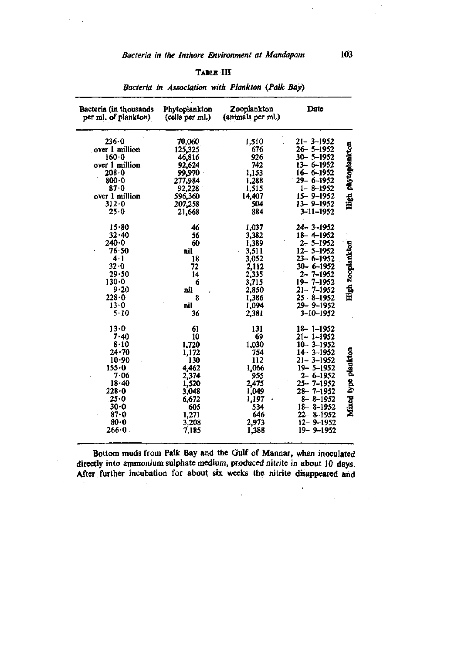$\bar{\mathcal{A}}$ 

l.

## TABLE III

| Bacteria (in thousands<br>per ml. of plankton) | Phytoplankton<br>(cells per ml.) | Zooplankton<br>(animals per ml.) | Date                               |                     |
|------------------------------------------------|----------------------------------|----------------------------------|------------------------------------|---------------------|
| $236 - 0$                                      | 70,060                           | 1,510                            | $21 - 3 - 1952$                    |                     |
| over 1 million<br>$160 - 0$                    | 125,325                          | 676<br>926                       | $26 - 5 - 1952$<br>$30 - 5 - 1952$ |                     |
| over 1 million                                 | 46,816<br>92,624                 | 742                              | $13 - 6 - 1952$                    | High phytoplankton  |
| $208 - 0$                                      | 99,970                           | 1,153                            | 16-6-1952                          |                     |
| 800.0                                          | 277,984                          | 1,288                            | 29-6-1952                          |                     |
| 87.0                                           | 92,228                           | 1,515                            | $1 - 8 - 1952$                     |                     |
| over 1 million                                 | 596,360                          | 14,407                           | $15 - 9 - 1952$                    |                     |
| 312.0                                          | 207,258                          | 504                              | 13 - 9 - 1952                      |                     |
| 25.0                                           | 21,668                           | 884                              | $3 - 11 - 1952$                    |                     |
| 15.80                                          | 46                               | 1,037                            | $24 - 3 - 1952$                    |                     |
| 32.40                                          | 56                               | 3,382                            | 18-4-1952                          |                     |
| 240.0                                          | 60                               | 1,389                            | $2 - 5 - 1952$                     |                     |
| 76.50                                          | nil                              | 3,511                            | $12 - 5 - 1952$                    | High zooplankton    |
| 4.1                                            | 18                               | 3,052                            | $23 - 6 - 1952$                    |                     |
| $32 - 0$                                       | 72                               | 2,112                            | 30- 6-1952                         |                     |
| 29.50                                          | 14                               | 2,335                            | $2 - 7 - 1952$                     |                     |
| 130.0                                          | 6                                | 3,715                            | $19 - 7 - 1952$                    |                     |
| $9 - 20$                                       | nil                              | 2,850                            | $21 - 7 - 1952$                    |                     |
| 228.0                                          | 8                                | 1,386                            | $25 - 8 - 1952$                    |                     |
| 13.0                                           | nil                              | 1,094                            | 29-9-1952                          |                     |
| $5 - 10$                                       | 36                               | 2,381                            | 3-10-1952                          |                     |
| 13.0                                           | 61                               | 131                              | $18 - 1 - 1952$                    |                     |
| $7 - 40$                                       | 10                               | 69                               | 21- 1-1952                         |                     |
| 8.10                                           | 1,720                            | 1,030                            | $10 - 3 - 1952$                    |                     |
| $24 - 70$                                      | 1,172                            | 754                              | $14 - 3 - 1952$                    |                     |
| 10.90                                          | 130                              | 112                              | $21 - 3 - 1952$                    |                     |
| 155.0                                          | 4,462                            | 1,066                            | $19 - 5 - 1952$                    |                     |
| 7.06                                           | 2,374                            | 955                              | $2 - 6 - 1952$                     |                     |
| 18.40                                          | 1,520                            | 2,475                            | 25– 7–1952                         |                     |
| 228.0                                          | 3,048                            | 1,049                            | $28 - 7 - 1952$                    |                     |
| $.25 - 0$                                      | 6,672                            | 1,197                            | $8 - 8 - 1952$                     | Mixed type plankton |
| $30 - 0$<br>87.0                               | 605.                             | 534<br>646                       | $18 - 8 - 1952$<br>$22 - 8 - 1952$ |                     |
| $80 - 0$                                       | 1,271                            | 2,973                            | $12 - 9 - 1952$                    |                     |
| $266 - 0$                                      | 3,208<br>7,185                   | 1,388                            | $19 - 9 - 1952$                    |                     |
|                                                |                                  |                                  |                                    |                     |

*Bacteria in Association with Plankton {Palk Bay)* 

Bottom muds from Palk Bay and the Gulf of Mannar, when inoculated directly into ammonium sulphate medium, produced nitrite in about 10 days. After further incubation for about six weeks the nitrite disappeared and

 $\bar{z}$ 

 $\bullet$ 

 $\mathcal{F}(\mathcal{A})$  .

 $\frac{1}{2}$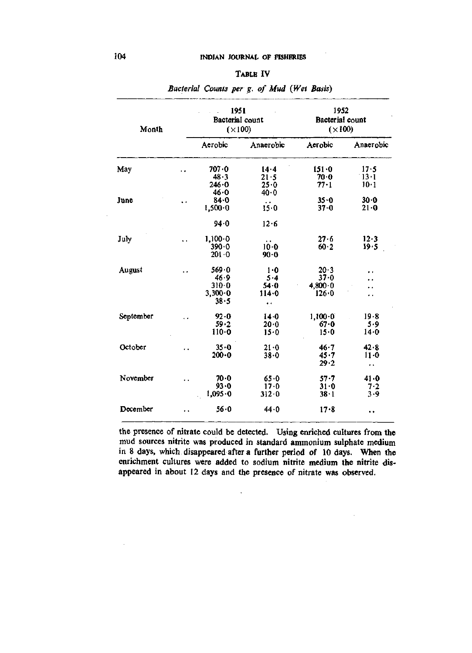| ABLE |  |
|------|--|
|------|--|

| Month     |                      | 1951<br>Bacterial count<br>$(\times 100)$         |                                          | 1952<br>Bacterial count<br>$(\times 100)$ |                                          |  |
|-----------|----------------------|---------------------------------------------------|------------------------------------------|-------------------------------------------|------------------------------------------|--|
|           |                      | Aerobic                                           | Anaerobic                                | Aerobic                                   | Anaerobic                                |  |
| May       | ٠.                   | 707.0<br>48.3                                     | 14.4<br>21.5                             | 151.0<br>70.0                             | 17.5<br>13.1                             |  |
|           |                      | 246.0<br>46.0                                     | 25.0<br>$40 - 0$                         | 77.1                                      | $10-1$                                   |  |
| June      | $\ddot{\phantom{1}}$ | 84.0<br>1,500.0                                   | $\ddot{\phantom{1}}$<br>15.0             | $35 - 0$<br>$37 - 0$                      | 30.0<br>21.0                             |  |
|           |                      | 94.0                                              | 12.6                                     |                                           |                                          |  |
| July      | . .                  | $1,100 \cdot 0$<br>$390 - 0$<br>201.0             | $\ddot{\phantom{1}}$<br>$10 - 0$<br>90.0 | 27.6<br>60.2                              | 12.3<br>19.5                             |  |
| August    | $\ddot{\phantom{1}}$ | 569.0<br>46.9<br>310.0<br>$3,300 \cdot 0$<br>38.5 | 1·0<br>5.4<br>54.0<br>114.0<br>٠.        | 20.3<br>37.0<br>$4,800 \cdot 0$<br>126.0  | . .<br>. .<br>٠.<br>. .                  |  |
| September | ٠.                   | 92.0<br>59.2<br>110.0                             | $14 - 0$<br>20.0<br>15.0                 | 1,100.0<br>67.0<br>15.0                   | 19.8<br>5.9<br>14.0                      |  |
| October   | . .                  | 35.0<br>$200 - 0$                                 | 21.0<br>38.0                             | 46.7<br>45.7<br>29.2                      | 42.8<br>$11 - 0$<br>$\ddot{\phantom{1}}$ |  |
| November  | k.                   | 70.0<br>93.0<br>1,095.0                           | 65.0<br>$17 - 0$<br>312.0                | $57 - 7$<br>31.0<br>38.1                  | 41.0<br>7.2<br>3.9                       |  |
| Docember  | . .                  | 56.0                                              | 44.0                                     | 17.8                                      | ٠,                                       |  |

*Bacterial Counts per g. of Mud (Wet Basis)* 

the presence of nitrate could be detected. Using enriched cultures from the mud sources nitrite was produced in standard ammonium sulphate medium in 8 days, which disappeared after a further period of 10 days. When the enrichment cultures were added to sodium nitrite medium the nitrite disappeared in about 12 days and the presence of nitrate was observed.

 $\ddot{\phantom{0}}$ 

J.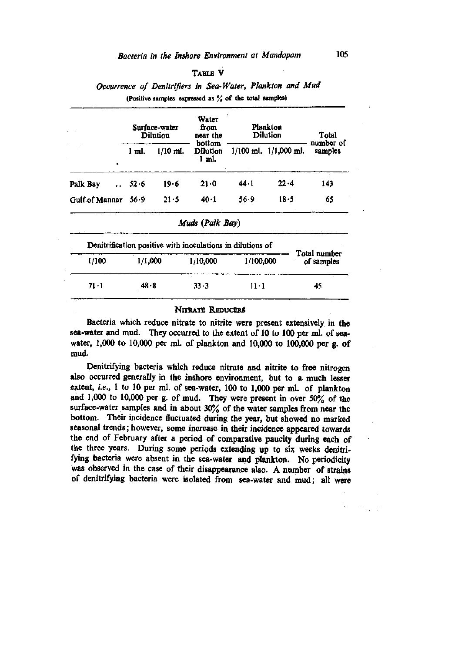## TABLE V

## *Occurrence of Denitrifiers in Sea-Water, Plankton and Mud*  (Positive samples expressed as % of the total samples)

|                                  |          | Surface-water<br>Dilution | Water<br>from<br>near the                                  | Plankton<br>Dilution | Total                     |                            |
|----------------------------------|----------|---------------------------|------------------------------------------------------------|----------------------|---------------------------|----------------------------|
|                                  | 1 ml.    | $1/10$ ml.                | bottom<br>Dilution<br>$-1$ ml.                             |                      | $1/100$ ml. $1/1,000$ ml. | number of<br>samples       |
| Palk Bay<br>$\ddot{\phantom{a}}$ | $52 - 6$ | 19.6                      | 21.0                                                       | 44 - 1               | 22.4                      | 143                        |
| Gulf of Mannar                   | 56.9     | 21.5                      | 40.1                                                       | 56.9                 | 18.5                      | 65                         |
|                                  |          |                           | Muds (Palk Bay)                                            |                      |                           |                            |
|                                  |          |                           | Denitrification positive with inoculations in dilutions of |                      |                           |                            |
| 1/100                            | 1/1,000  |                           | 1/10,000                                                   | 1/100,000            |                           | Total number<br>of samples |
| 71 · 1                           | 48.8     |                           | $33 - 3$                                                   | 11 • 1               |                           | 45                         |

#### NITRATE REDUCERS

Bacteria which reduce nitrate to nitrite were present extensively in the sea-water and mud. They occurred to the extent of 10 to 100 per ml. of seawater, 1,000 to 10,000 per ml. of plankton and 10,000 to 100,000 per g. of mud.

Denitrifying bacteria which reduce nitrate and nitrite to free nitrogen also occurred generally in the inshore environment, but to a- much lesser extent, *i.e.,* 1 to 10 per ml. of sea-water, 100 to 1,000 per ml. of plankton and 1,000 to 10,000 per g. of mud. They were present in over 50% of the surface-water samples and in about 30% of the water samples from near the bottom. Their incidence fluctuated during the year, but showed no marked seasonal trends; however, some increase in their incidence appeared towards the end of February after a period of comparative paucity during each of the three years. During some periods extending up to six weeks denitrifying bacteria were absent in the sea-water and plankton. No periodicity was observed in the case of their disappearance also. A number of strains of denitrifying bacteria were isolated from sea-water and mud; all were

 $\mathcal{D}_{\text{G}}$  ,  $\mathcal{D}_{\text{G}}$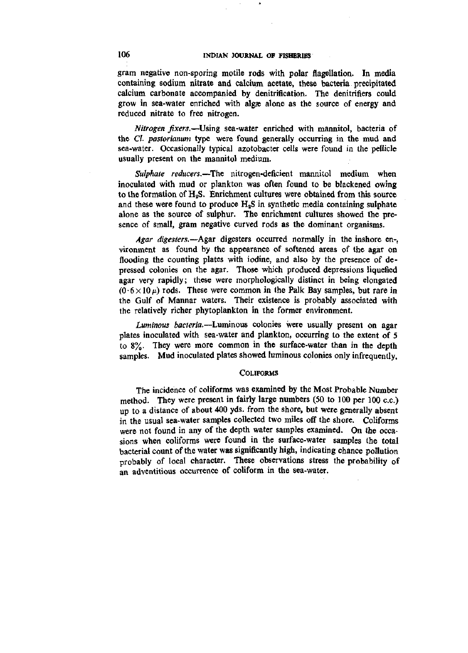gram negative non-sporing motile rods with polar flagellation. In media containing sodium nitrate and calcium acetate, these bacteria precipitated calcium carbonate accompanied by denitrification. The denitrifiers could grow in sea-water enriched with algee alone as the source of energy and reduced nitrate to free nitrogen.

*Nitrogen fixers.*—Using sea-water enriched with mannitol, bacteria of the *Cl. pastorianum* type were found generally occurring in the mud and sea-water. Occasionally typical azotobacter cells were found in the pellicle usually present on the mannitol medium.

*Sulphate reducers.*—The nitrogen-deficient mannitol medium when inoculated with mud or plankton was often found to be blackened owing to the formation of  $H<sub>2</sub>S$ . Enrichment cultures were obtained from this source and these were found to produce  $H<sub>2</sub>S$  in synthetic media containing sulphate alone as the source of sulphur. The enrichment cultures showed the presence of small, gram negative curved rods as the dominant organisms.

*Agar digesters.*—^Agar digesters occurred normally in the inshore en-, vironment as found by the appearance of softened areas of the agar on flooding the counting plates with iodine, and also by the presence of depressed colonies on the agar. Those which produced depressions liquefied agar very rapidly; these were morphologically distinct in being elongated  $(0.6 \times 10 \,\mu)$  rods. These were common in the Palk Bay samples, but rare in the Gulf of Mannar waters. Their existence is probably associated with the relatively richer phytoplankton in the former environment.

*Luminous bacteria.*—Luminous colonies were usually present on agar plates inoculated with sea-water and plankton, occurring to the extent of 5 to 8%. They were more common in the surface-water than in the depth samples. Mud inoculated plates showed luminous colonies only infrequently,

#### **COLIFORMS**

The incidence of coliforms was examined by the Most Probable Number method. They were present in fairly large numbers (50 to 100 per 100 c.c.) up to a distance of about 400 yds. from the shore, but were generally absent in the usual sea-water samples collected two miles off the shore. Coliforms were not found in any of the depth water samples examined. On the occasions when coliforms were found in the surface-water samples the total bacterial count of the water was significantly high, indicating chance pollution probably of local character. These observations stress the probability of an adventitious occurrence of coliform in the sea-water.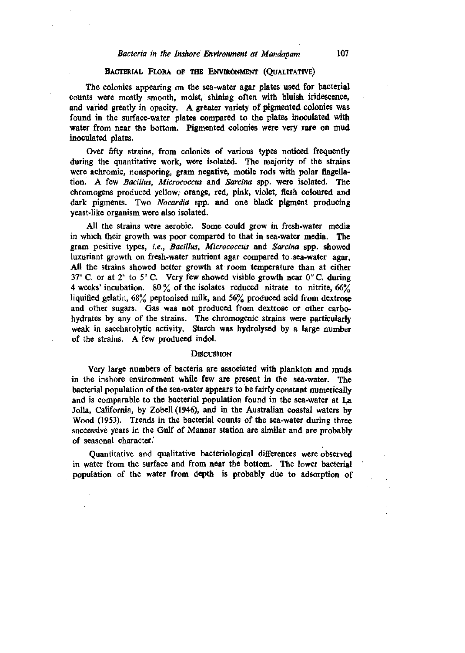## *Bacteria in the Inshore Environment at Mandapam* 107

#### BACTERIAL FLORA OF THE ENVIRONMENT (QUALITATIVE)

The colonies appearing on the sea-water agar plates used for bacterial counts were mostly smooth, moist, shining often with bluish iridescence, and varied greatly in opacity. A greater variety of pigmented colonies was found in the surface-water plates compared to the plates inoculated with water from near the bottom. Pigmented colonies were very rare on mud inoculated plates.

Over fifty strains, from colonies of various types noticed frequently during the quantitative work, were isolated. The majority of the strains were achromic, nonsporing, gram negative, motile rods with polar flagellation. A few *Bacillus, Micrococcus* and *Sarcina* spp. were isolated. The chromogens produced yellow, orange, red, pink, violet, flesh coloured and dark pigments. Two *Nocardia* spp. and one black pigment producing yeast-like organism were also isolated.

All the strains were aerobic. Some could grow in fresh-water media in which their growth was poor compared to that in sea-water media. The gram positive types, *i.e., Bacillus, Micrococcus* and *Sarcina* spp. showed luxuriant growth on fresh-water nutrient agar compared to sea-water agar. AH the strains showed better growth at room temperature than at either 37° C. or at  $2^{\circ}$  to  $5^{\circ}$  C. Very few showed visible growth near  $0^{\circ}$  C. during 4 weeks' incubation. 80  $\%$  of the isolates reduced nitrate to nitrite, 66 $\%$ liquified gelatin, 68% peptonised milk, and 56% produced acid from dextrose and other sugars. Gas was not produced from dextrose or other carbohydrates by any of the strains. The chromogenic strains were particularly weak in saccharolytic activity. Starch was hydrolysed by a large number of the strains. A few produced indol.

### **DISCUSSION**

Very large numbers of bacteria are associated with plankton and muds in the inshore environment while few are present in the sea-water. The bacterial population of the sea-water appears to be fairly constant numerically and is comparable to the bacterial population found in the sea-water at La Jolla, California, by Zobell (1946), and in the Australian coastal waters by Wood (1953). Trends in the bacterial counts of the sea-water during three successive years in the Gulf of Mannar station are similar and are probably of seasonal character.'

Quantitative and qualitative bacteriological differences were observed in water from the surface and from near the bottom. The lower bacterial population of the water from depth is probably due to adsorption of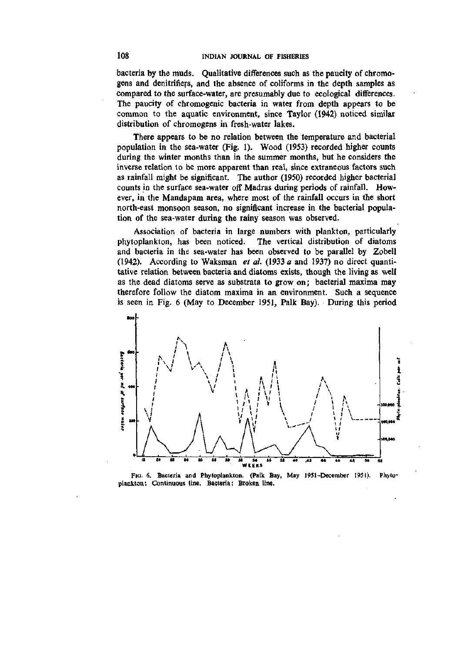bacteria by the muds. Qualitative differences such as the paucity of chromogens and denitrifiers, and the absence of coliforms in the depth samples as compared to the surface-water, are presumably due to ecological differences. The paucity of chromogenic bacteria in water from depth appears to be common to the aquatic environment, since Taylor (1942) noticed similar distribution of chromogens in fresh-water lakes.

There appears to be no relation between the temperature and bacterial population in the sea-water (Fig. 1). Wood (1953) recorded higher counts during the winter months than in the summer months, but he considers the inverse relation to be more apparent than real, since extraneous factors such as rainfall might be significant. The author (1950) recorded higher bacterial counts in the surface sea-water off Madras during periods of rainfall. However, in the Mandapam area, where most of the rainfall occurs in the short north-east monsoon season, no significant increase in the bacterial population of the sea-water during the rainy season was observed.

Association of bacteria in large numbers with plankton, particularly phytoplankton, has been noticed. The vertical distribution of diatoms and bacteria in the sea-water has been observed to be parallel by Zobell (1942). According to Waksman *et al.* (1933 *a* and 1937) no direct quantitative relation between bacteria and diatoms exists, though the living as well as the dead diatoms serve as substrata to grow on; bacterial maxima may therefore follow the diatom maxima in an environment. Such a sequence is seen in Fig. 6 (May to December 1951, Palk Bay). During this period



Fio. 6. Bacteria and Phytoplankton. (Palk Bay, May 1951-December 1951). plankton: Continuous line. Bacteria: Broken line. Phyto-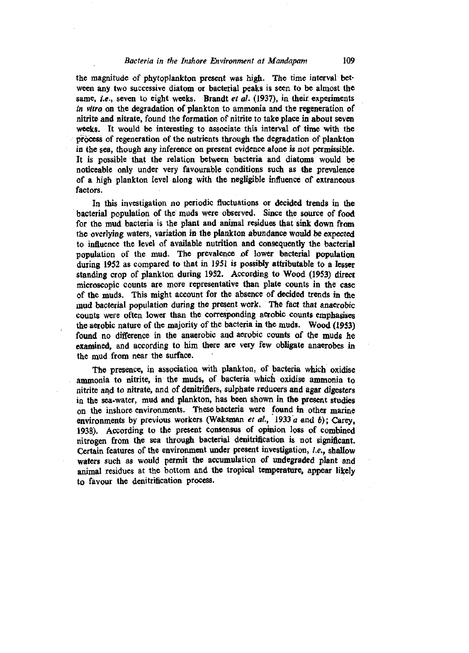#### *Bacteria in the Inshore Environment at Mandapam* 109

the magnitude of phytoplankton piresent was high. The time interval between any two successive diatom or bacterial peaks is seen to be almost the same, *i.e.*, seven to eight weeks. Brandt *et al.* (1937), in their experiments *in vitro* on the degradation of plankton to ammonia and the regeneration of nitrite and nitrate, found the formation of nitrite to take place in about seven weeks. It would be interesting to associate this interval of time with the process of regeneration of the nutrients through the degradation of plankton in the sea, though any inference on present evidence alone is not permissible. It is possible that the relation between bacteria and diatoms would be noticeable only under very favourable conditions such as the prevalence of a high plankton level along with the negligible influence of extraneous factors.

In this investigation no periodic fluctuations or decided trends in the bacterial population of the muds were observed. Since the source of food for the mud bacteria is the plant and animal residues that sink down from the overlying waters, variation in the plankton abundance would be expected to influence the level of available nutrition and consequently the bacterial population of the mud. The prevalence of lower bacterial population during 1952 as compared to that in 1951 is possibly attributable to a lesser standing crop of plankton during 1952. According to Wood (1953) direct microscopic counts are more representative than plate counts in the case of the muds. This might account for the absence of decided trends in the mud bacterial population during the present work. The fact that anaerobic counts were often lower than the corresponding aerobic counts emphasises the aerobic nature of the majority of the bacteria in the muds. Wood (1953) found no difference in the anaerobic and aerobic counts of the muds he examined, and according to him there are very few obligate anaerobes in the mud from near the surface.

The presence, in association with plankton, of bacteria which oxidise ammonia to nitrite, in the muds, of bacteria which oxidise ammonia to nitrite and to nitrate, and of denitrifiers, sulphate reducers and agar digesters in the sea-water, mud and plankton, has been shown in the present studies on the inshore environments. These bacteria were found in other marine environments by previous workers (Waksman *et al,* 1933 a and *b);* Carey, 1938). According to the present consensus of opinion loss of combined nitrogen from the sea through bacterial denitrification is not significant. Certain features of the environment under present investigation, *i.e.,* shallow waters such as would permit the accumulation of undegraded plant and animal residues at the bottom and the tropical temperature, appear likely to favour the denitrification process.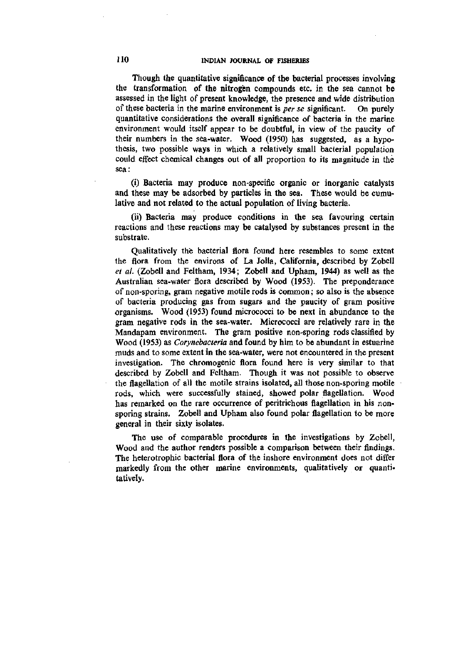Though the quantitative significance of the bacterial processes involving the transformation of the nitrogen compounds etc. in the sea cannot be assessed in the light of present knowledge, the presence and wide distribution of these bacteria in the marine environment is *per se* significant. On purely quantitative considerations the overall significance of bacteria in the marine environment would itself appear to be doubtful, in view of the paucity of their numbers in the sea-water. Wood (1950) has suggested, as a hypothesis, two possible ways in which a relatively small bacterial population could effect chemical changes out of all proportion to its magnitude in the sea:

(i) Bacteria may produce non-specific organic or inorganic catalysts and these may be adsorbed by particles in the sea. These would be cumulative and not related to the actual population of living bacteria.

(ii) Bacteria may produce conditions in the sea favouring certain reactions and these reactions may be catalysed by substances present in the substrate.

Qualitatively the bacterial flora found here resembles to some extent the flora from the environs of La Jolla, California, described by Zobell *et al.* (Zobell and Feltham, 1934; Zobell and Upham, 1944) as well as the Australian sea-water flora described by Wood (1953). The preponderance of non-sporing, gram negative motile rods is common; so also is the absence of bacteria producing gas from sugars and the paucity of gram positive organisms. Wood (1953) found micrococci to be next in abundance to the gram negative rods in the sea-water. Micrococci are relatively rare in the Mandapam environment. The gram positive non-sporing rods classified by Wood (1953) as *Corynebacteria* and found by him to be abundant in estuarine muds and to some extent in the sea-water, were not encountered in the present investigation. The chromogenic flora found here is very similar to that described by Zobell and Feltham. Though it was not possible to observe the flagellation of all the motile strains isolated, all those non-sporing motile rods, which were successfully stained, showed polar flagellation. Wood has remarked on the rare occurrence of peritrichous flagellation in his nonsporing strains. Zobell and Upham also found polar flagellation to be more general in their sixty isolates.

The use of comparable procedures in the investigations by Zobell, Wood and the author renders possible a comparison between their findings. The heterotrophic bacterial flora of the inshore environment does not differ markedly from the other marine environments, qualitatively or quantitatively.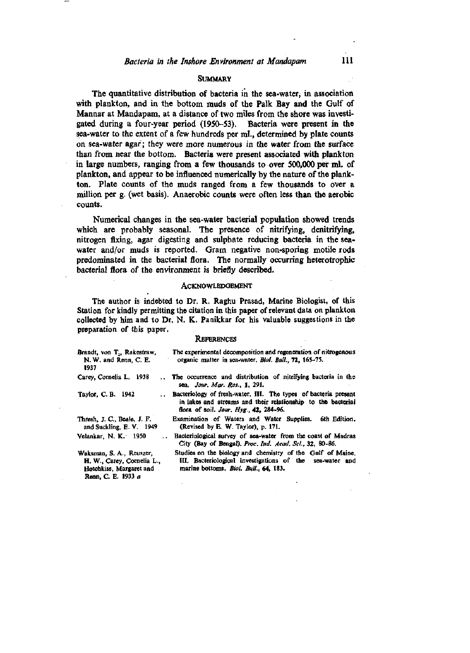### **SUMMARY**

The quantitative distribution of bacteria in the sea-water, in association with plankton, and in the bottom muds of the Palk Bay and the Gulf of Mannar at Mandapam, at a distance of two miles from the shore was investigated during a four-year period (1950-53). Bacteria were present in the sea-water to the extent of a few hundreds per ml., determined by plate counts on sea-water agar; they were more numerous in the water from the surface than from near the bottom. Bacteria were present associated with plankton in large numbers, ranging from a few thousands to over 500,000 per ml. of plankton, and appear to be influenced numerically by the nature of the plankton. Plate counts of the muds ranged from a few thousands to over a million per g. (wet basis). Anaerobic counts were often less than the aerobic counts.

Numerical changes in the sea-water bacterial population showed trends which are probably seasonal. The presence of nitrifying, denitrifying, nitrogen fixing, agar digesting and sulphate reducing bacteria in the seawater and/or muds is reported. Gram negative non-sporing motile rods predominated in the bacterial flora. The normally occurring heterotrophic bacterial flora of the environment is briefly described.

### ACKNOWLEDGEMENT

The author is indebted to Dr. R. Raghu Prasad, Marine Biologist, of this Station for kindly permitting the citation in this paper of relevant data on plankton collected by him and to Dr. N. K. Panikkar for his valuable suggestions in the preparation of this paper.

#### **REFERENCES**

| The experimental decomposition and regeneration of nitrogenous<br>organic matter in sea-water. Biol. Bull., 72, 165-75.                                                   |
|---------------------------------------------------------------------------------------------------------------------------------------------------------------------------|
| The occurrence and distribution of nitrifying bacteria in the<br>sea, Jour. Mar. Res., 1, 291.                                                                            |
| Bacteriology of fresh-water. III. The types of bacteria present<br>in lakes and streams and their relationship to the bacterial<br>flora of soil. Jour, Hyg., 42, 284-96. |
| Examination of Waters and Water Supplies. 6th Edition,<br>(Revised by E. W. Taylor), p. 171.                                                                              |
| Bacteriological survey of sea-water from the coast of Madras<br>City (Bay of Bengal), Proc. Ind. Acad. Sci., 32, 80-86.                                                   |
| Studies on the biology and chemistry of the Gulf of Maine.<br>III. Bacteriological investigations of the sea-water and<br>marine bottoms, <i>Biol. Bull.</i> , 64, 183.   |
|                                                                                                                                                                           |